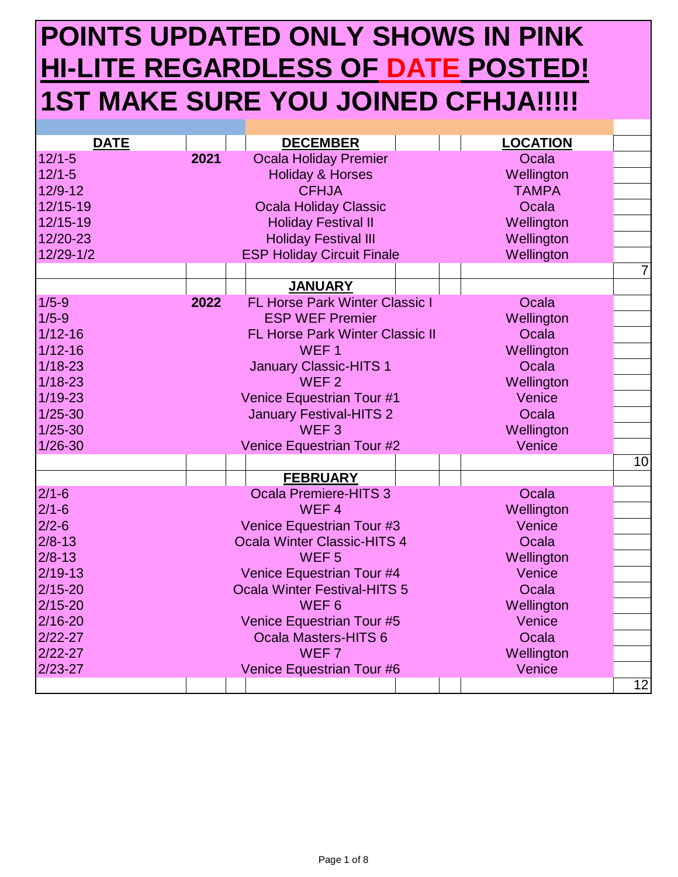## **POINTS UPDATED ONLY SHOWS IN PINK HI-LITE REGARDLESS OF DATE POSTED! 1ST MAKE SURE YOU JOINED CFHJA!!!!!**

| <b>DATE</b> |      | <b>DECEMBER</b>                        | <b>LOCATION</b> |
|-------------|------|----------------------------------------|-----------------|
| $12/1 - 5$  | 2021 | <b>Ocala Holiday Premier</b>           | Ocala           |
| $12/1 - 5$  |      | <b>Holiday &amp; Horses</b>            | Wellington      |
| 12/9-12     |      | <b>CFHJA</b>                           | <b>TAMPA</b>    |
| 12/15-19    |      | <b>Ocala Holiday Classic</b>           | Ocala           |
| 12/15-19    |      | <b>Holiday Festival II</b>             | Wellington      |
| 12/20-23    |      | <b>Holiday Festival III</b>            | Wellington      |
| 12/29-1/2   |      | <b>ESP Holiday Circuit Finale</b>      | Wellington      |
|             |      |                                        | $\overline{7}$  |
|             |      | <b>JANUARY</b>                         |                 |
| $1/5 - 9$   | 2022 | <b>FL Horse Park Winter Classic I</b>  | Ocala           |
| $1/5 - 9$   |      | <b>ESP WEF Premier</b>                 | Wellington      |
| $1/12 - 16$ |      | <b>FL Horse Park Winter Classic II</b> | Ocala           |
| $1/12 - 16$ |      | WEF <sub>1</sub>                       | Wellington      |
| $1/18 - 23$ |      | <b>January Classic-HITS 1</b>          | Ocala           |
| $1/18 - 23$ |      | WEF <sub>2</sub>                       | Wellington      |
| $1/19 - 23$ |      | <b>Venice Equestrian Tour #1</b>       | Venice          |
| $1/25 - 30$ |      | <b>January Festival-HITS 2</b>         | Ocala           |
| $1/25 - 30$ |      | WEF <sub>3</sub>                       | Wellington      |
| $1/26 - 30$ |      | Venice Equestrian Tour #2              | Venice          |
|             |      |                                        | 10              |
|             |      | <b>FEBRUARY</b>                        |                 |
| $2/1 - 6$   |      | <b>Ocala Premiere-HITS 3</b>           | Ocala           |
| $2/1 - 6$   |      | WEF <sub>4</sub>                       | Wellington      |
| $2/2 - 6$   |      | Venice Equestrian Tour #3              | Venice          |
| $2/8 - 13$  |      | <b>Ocala Winter Classic-HITS 4</b>     | Ocala           |
| $2/8 - 13$  |      | WEF <sub>5</sub>                       | Wellington      |
| $2/19-13$   |      | Venice Equestrian Tour #4              | Venice          |
| $2/15 - 20$ |      | <b>Ocala Winter Festival-HITS 5</b>    | Ocala           |
| $2/15 - 20$ |      | WEF <sub>6</sub>                       | Wellington      |
| 2/16-20     |      | Venice Equestrian Tour #5              | Venice          |
| $2/22 - 27$ |      | <b>Ocala Masters-HITS 6</b>            | Ocala           |
| $2/22 - 27$ |      | WEF <sub>7</sub>                       | Wellington      |
| $2/23 - 27$ |      | Venice Equestrian Tour #6              | Venice          |
|             |      |                                        | 12              |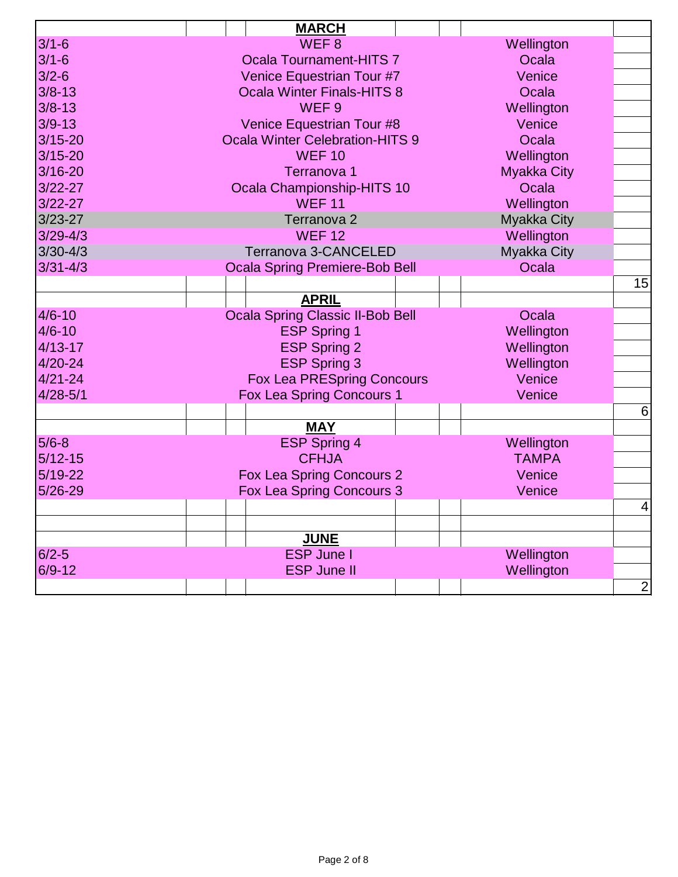| <b>MARCH</b>                            |                                                                                                                                                                                                                                      |
|-----------------------------------------|--------------------------------------------------------------------------------------------------------------------------------------------------------------------------------------------------------------------------------------|
| WEF <sub>8</sub>                        | Wellington                                                                                                                                                                                                                           |
| <b>Ocala Tournament-HITS 7</b>          | Ocala                                                                                                                                                                                                                                |
| Venice Equestrian Tour #7               | Venice                                                                                                                                                                                                                               |
| <b>Ocala Winter Finals-HITS 8</b>       | Ocala                                                                                                                                                                                                                                |
| WEF <sub>9</sub>                        | Wellington                                                                                                                                                                                                                           |
| Venice Equestrian Tour #8               | Venice                                                                                                                                                                                                                               |
| <b>Ocala Winter Celebration-HITS 9</b>  | Ocala                                                                                                                                                                                                                                |
| <b>WEF 10</b>                           | Wellington                                                                                                                                                                                                                           |
| Terranova 1                             | <b>Myakka City</b>                                                                                                                                                                                                                   |
| Ocala Championship-HITS 10              | Ocala                                                                                                                                                                                                                                |
| <b>WEF 11</b>                           | Wellington                                                                                                                                                                                                                           |
| Terranova <sub>2</sub>                  | Myakka City                                                                                                                                                                                                                          |
| <b>WEF 12</b>                           | Wellington                                                                                                                                                                                                                           |
| Terranova 3-CANCELED                    | Myakka City                                                                                                                                                                                                                          |
|                                         | Ocala                                                                                                                                                                                                                                |
|                                         | 15                                                                                                                                                                                                                                   |
| <b>APRIL</b>                            |                                                                                                                                                                                                                                      |
| <b>Ocala Spring Classic II-Bob Bell</b> | Ocala                                                                                                                                                                                                                                |
|                                         | Wellington                                                                                                                                                                                                                           |
| <b>ESP Spring 2</b>                     | Wellington                                                                                                                                                                                                                           |
| <b>ESP Spring 3</b>                     | Wellington                                                                                                                                                                                                                           |
|                                         | Venice                                                                                                                                                                                                                               |
|                                         | Venice                                                                                                                                                                                                                               |
|                                         | 6                                                                                                                                                                                                                                    |
| <b>MAY</b>                              |                                                                                                                                                                                                                                      |
|                                         | Wellington                                                                                                                                                                                                                           |
| <b>CFHJA</b>                            | <b>TAMPA</b>                                                                                                                                                                                                                         |
|                                         | Venice                                                                                                                                                                                                                               |
|                                         | Venice                                                                                                                                                                                                                               |
|                                         | $\overline{4}$                                                                                                                                                                                                                       |
|                                         |                                                                                                                                                                                                                                      |
| <b>JUNE</b>                             |                                                                                                                                                                                                                                      |
| <b>ESP June I</b>                       | Wellington                                                                                                                                                                                                                           |
| <b>ESP June II</b>                      | Wellington                                                                                                                                                                                                                           |
|                                         | $\overline{2}$                                                                                                                                                                                                                       |
|                                         | <b>Ocala Spring Premiere-Bob Bell</b><br><b>ESP Spring 1</b><br><b>Fox Lea PRESpring Concours</b><br><b>Fox Lea Spring Concours 1</b><br><b>ESP Spring 4</b><br><b>Fox Lea Spring Concours 2</b><br><b>Fox Lea Spring Concours 3</b> |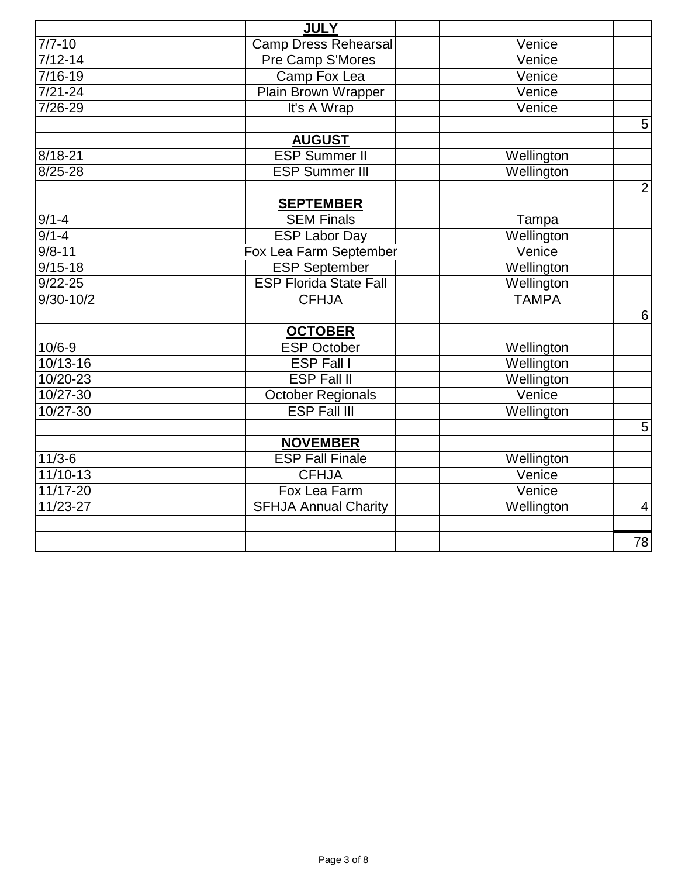|               | <b>JULY</b>                   |                      |                |
|---------------|-------------------------------|----------------------|----------------|
| $7/7 - 10$    | <b>Camp Dress Rehearsal</b>   | Venice               |                |
| $7/12 - 14$   | Pre Camp S'Mores              | Venice               |                |
| $7/16 - 19$   | Camp Fox Lea                  | Venice               |                |
| $7/21 - 24$   | <b>Plain Brown Wrapper</b>    | Venice               |                |
| 7/26-29       | It's A Wrap                   | Venice               |                |
|               |                               |                      | 5 <sup>1</sup> |
|               | <b>AUGUST</b>                 |                      |                |
| 8/18-21       | <b>ESP Summer II</b>          | Wellington           |                |
| $8/25 - 28$   | <b>ESP Summer III</b>         | Wellington           |                |
|               |                               |                      | $\overline{2}$ |
|               | <b>SEPTEMBER</b>              |                      |                |
| $9/1 - 4$     | <b>SEM Finals</b>             | Tampa                |                |
| $9/1 - 4$     | <b>ESP Labor Day</b>          | Wellington           |                |
| $9/8 - 11$    | Fox Lea Farm September        | Venice               |                |
| $9/15 - 18$   | <b>ESP September</b>          | Wellington           |                |
| $9/22 - 25$   | <b>ESP Florida State Fall</b> | Wellington           |                |
| $9/30 - 10/2$ | <b>CFHJA</b>                  | <b>TAMPA</b>         |                |
|               |                               |                      | $6 \mid$       |
|               | <b>OCTOBER</b>                |                      |                |
| $10/6 - 9$    | <b>ESP October</b>            | Wellington           |                |
| 10/13-16      | <b>ESP Fall I</b>             | Wellington           |                |
| 10/20-23      | <b>ESP Fall II</b>            | Wellington           |                |
| 10/27-30      | <b>October Regionals</b>      | Venice               |                |
| 10/27-30      | <b>ESP Fall III</b>           | Wellington           |                |
|               |                               |                      | $\overline{5}$ |
|               | <b>NOVEMBER</b>               |                      |                |
| $11/3-6$      | <b>ESP Fall Finale</b>        | Wellington           |                |
| $11/10-13$    | <b>CFHJA</b>                  | Venice               |                |
| 11/17-20      | Fox Lea Farm                  | $\overline{V}$ enice |                |
| 11/23-27      | <b>SFHJA Annual Charity</b>   | Wellington           | $\overline{4}$ |
|               |                               |                      |                |
|               |                               |                      | 78             |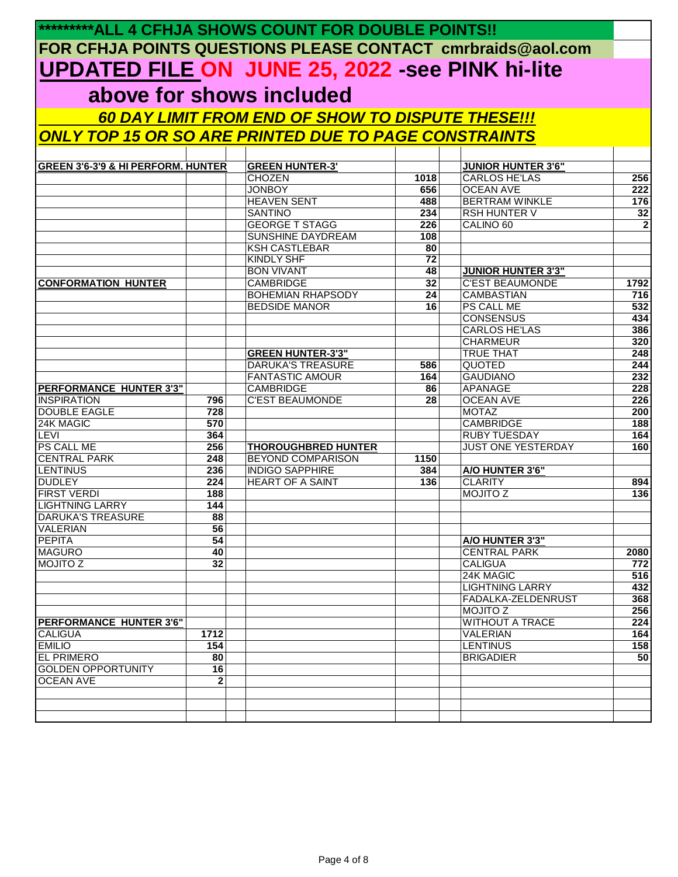|                                               |                 | <b>*********ALL 4 CFHJA SHOWS COUNT FOR DOUBLE POINTS!!</b>  |                       |                                  |              |
|-----------------------------------------------|-----------------|--------------------------------------------------------------|-----------------------|----------------------------------|--------------|
|                                               |                 | FOR CFHJA POINTS QUESTIONS PLEASE CONTACT cmrbraids@aol.com  |                       |                                  |              |
|                                               |                 | <b>UPDATED FILE ON JUNE 25, 2022 -see PINK hi-lite</b>       |                       |                                  |              |
|                                               |                 |                                                              |                       |                                  |              |
|                                               |                 | above for shows included                                     |                       |                                  |              |
|                                               |                 | 60 DAY LIMIT FROM END OF SHOW TO DISPUTE THESE!!!            |                       |                                  |              |
|                                               |                 | <u>ONLY TOP 15 OR SO ARE PRINTED DUE TO PAGE CONSTRAINTS</u> |                       |                                  |              |
|                                               |                 |                                                              |                       |                                  |              |
| <b>GREEN 3'6-3'9 &amp; HI PERFORM. HUNTER</b> |                 | <b>GREEN HUNTER-3'</b>                                       |                       | <b>JUNIOR HUNTER 3'6"</b>        |              |
|                                               |                 | <b>CHOZEN</b>                                                | 1018                  | <b>CARLOS HE'LAS</b>             | 256          |
|                                               |                 | <b>JONBOY</b>                                                | 656                   | <b>OCEAN AVE</b>                 | 222          |
|                                               |                 | <b>HEAVEN SENT</b>                                           | 488                   | <b>BERTRAM WINKLE</b>            | 176          |
|                                               |                 | <b>SANTINO</b>                                               | 234                   | <b>RSH HUNTER V</b>              | 32           |
|                                               |                 | <b>GEORGE T STAGG</b>                                        | 226                   | CALINO <sub>60</sub>             | $\mathbf{2}$ |
|                                               |                 | <b>SUNSHINE DAYDREAM</b>                                     | 108                   |                                  |              |
|                                               |                 | <b>KSH CASTLEBAR</b>                                         | 80                    |                                  |              |
|                                               |                 | <b>KINDLY SHF</b><br><b>BON VIVANT</b>                       | $\overline{72}$<br>48 | <b>JUNIOR HUNTER 3'3"</b>        |              |
| <b>CONFORMATION HUNTER</b>                    |                 | <b>CAMBRIDGE</b>                                             | 32                    | <b>C'EST BEAUMONDE</b>           | 1792         |
|                                               |                 | <b>BOHEMIAN RHAPSODY</b>                                     | 24                    | <b>CAMBASTIAN</b>                | 716          |
|                                               |                 | <b>BEDSIDE MANOR</b>                                         | 16                    | <b>PS CALL ME</b>                | 532          |
|                                               |                 |                                                              |                       | <b>CONSENSUS</b>                 | 434          |
|                                               |                 |                                                              |                       | <b>CARLOS HE'LAS</b>             | 386          |
|                                               |                 |                                                              |                       | <b>CHARMEUR</b>                  | 320          |
|                                               |                 | <b>GREEN HUNTER-3'3"</b>                                     |                       | <b>TRUE THAT</b>                 | 248          |
|                                               |                 | <b>DARUKA'S TREASURE</b>                                     | 586                   | QUOTED                           | 244          |
|                                               |                 | <b>FANTASTIC AMOUR</b>                                       | 164                   | <b>GAUDIANO</b>                  | 232          |
| <b>PERFORMANCE HUNTER 3'3"</b>                |                 | <b>CAMBRIDGE</b>                                             | 86                    | <b>APANAGE</b>                   | 228          |
| <b>INSPIRATION</b>                            | 796             | <b>C'EST BEAUMONDE</b>                                       | 28                    | <b>OCEAN AVE</b>                 | 226          |
| <b>DOUBLE EAGLE</b><br>24K MAGIC              | 728<br>570      |                                                              |                       | <b>MOTAZ</b><br><b>CAMBRIDGE</b> | 200<br>188   |
| <b>LEVI</b>                                   | 364             |                                                              |                       | <b>RUBY TUESDAY</b>              | 164          |
| <b>PS CALL ME</b>                             | 256             | <b>THOROUGHBRED HUNTER</b>                                   |                       | <b>JUST ONE YESTERDAY</b>        | 160          |
| <b>CENTRAL PARK</b>                           | 248             | <b>BEYOND COMPARISON</b>                                     | 1150                  |                                  |              |
| <b>LENTINUS</b>                               | 236             | <b>INDIGO SAPPHIRE</b>                                       | 384                   | A/O HUNTER 3'6"                  |              |
| <b>DUDLEY</b>                                 | 224             | <b>HEART OF A SAINT</b>                                      | 136                   | <b>CLARITY</b>                   | 894          |
| <b>FIRST VERDI</b>                            | 188             |                                                              |                       | <b>MOJITO Z</b>                  | 136          |
| <b>LIGHTNING LARRY</b>                        | 144             |                                                              |                       |                                  |              |
| DARUKA'S TREASURE                             | 88              |                                                              |                       |                                  |              |
| <b>VALERIAN</b>                               | 56              |                                                              |                       |                                  |              |
| <b>PEPITA</b>                                 | $\overline{54}$ |                                                              |                       | A/O HUNTER 3'3"                  |              |
| <b>MAGURO</b>                                 | 40              |                                                              |                       | <b>CENTRAL PARK</b>              | 2080         |
| <b>MOJITO Z</b>                               | $\overline{32}$ |                                                              |                       | <b>CALIGUA</b><br>24K MAGIC      | 772<br>516   |
|                                               |                 |                                                              |                       | <b>LIGHTNING LARRY</b>           | 432          |
|                                               |                 |                                                              |                       | FADALKA-ZELDENRUST               | 368          |
|                                               |                 |                                                              |                       | <b>MOJITO Z</b>                  | 256          |
| <b>PERFORMANCE HUNTER 3'6"</b>                |                 |                                                              |                       | <b>WITHOUT A TRACE</b>           | 224          |
| <b>CALIGUA</b>                                | 1712            |                                                              |                       | <b>VALERIAN</b>                  | 164          |
| <b>EMILIO</b>                                 | 154             |                                                              |                       | <b>LENTINUS</b>                  | 158          |
| <b>EL PRIMERO</b>                             | 80              |                                                              |                       | <b>BRIGADIER</b>                 | 50           |
| <b>GOLDEN OPPORTUNITY</b>                     | $\overline{16}$ |                                                              |                       |                                  |              |
| <b>OCEAN AVE</b>                              | $\mathbf{2}$    |                                                              |                       |                                  |              |
|                                               |                 |                                                              |                       |                                  |              |
|                                               |                 |                                                              |                       |                                  |              |
|                                               |                 |                                                              |                       |                                  |              |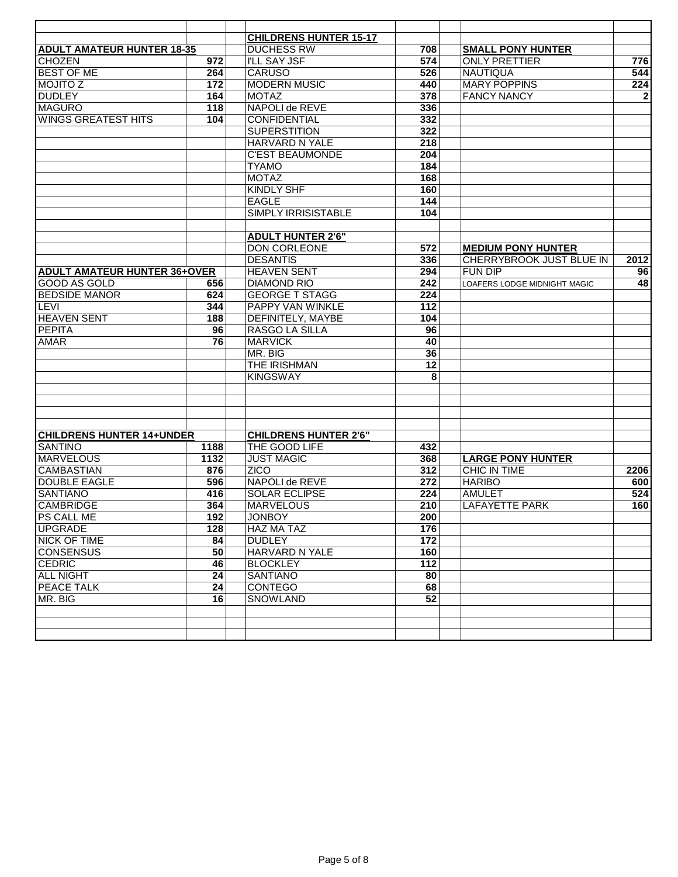|                                     |                 | <b>CHILDRENS HUNTER 15-17</b> |                  |                              |              |
|-------------------------------------|-----------------|-------------------------------|------------------|------------------------------|--------------|
| <b>ADULT AMATEUR HUNTER 18-35</b>   |                 | <b>DUCHESS RW</b>             | 708              | <b>SMALL PONY HUNTER</b>     |              |
| CHOZEN                              | 972             | <b>I'LL SAY JSF</b>           | 574              | <b>ONLY PRETTIER</b>         | 776          |
| <b>BEST OF ME</b>                   | 264             | <b>CARUSO</b>                 | 526              | <b>NAUTIQUA</b>              | 544          |
| <b>NOJITO Z</b>                     | 172             | <b>MODERN MUSIC</b>           | 440              | <b>MARY POPPINS</b>          | 224          |
| <b>DUDLEY</b>                       | 164             | <b>MOTAZ</b>                  | 378              | <b>FANCY NANCY</b>           | $\mathbf{2}$ |
| <b>MAGURO</b>                       | 118             | NAPOLI de REVE                | 336              |                              |              |
| <b>WINGS GREATEST HITS</b>          | 104             | <b>CONFIDENTIAL</b>           | 332              |                              |              |
|                                     |                 | <b>SUPERSTITION</b>           | 322              |                              |              |
|                                     |                 | HARVARD N YALE                | 218              |                              |              |
|                                     |                 | <b>C'EST BEAUMONDE</b>        | 204              |                              |              |
|                                     |                 | <b>TYAMO</b>                  | 184              |                              |              |
|                                     |                 |                               |                  |                              |              |
|                                     |                 | <b>MOTAZ</b>                  | 168              |                              |              |
|                                     |                 | <b>KINDLY SHF</b>             | 160              |                              |              |
|                                     |                 | <b>EAGLE</b>                  | 144              |                              |              |
|                                     |                 | SIMPLY IRRISISTABLE           | 104              |                              |              |
|                                     |                 |                               |                  |                              |              |
|                                     |                 | <b>ADULT HUNTER 2'6"</b>      |                  |                              |              |
|                                     |                 | DON CORLEONE                  | 572              | <b>MEDIUM PONY HUNTER</b>    |              |
|                                     |                 | <b>DESANTIS</b>               | 336              | CHERRYBROOK JUST BLUE IN     | 2012         |
| <b>ADULT AMATEUR HUNTER 36+OVER</b> |                 | <b>HEAVEN SENT</b>            | 294              | <b>FUN DIP</b>               | 96           |
| GOOD AS GOLD                        | 656             | <b>DIAMOND RIO</b>            | 242              | LOAFERS LODGE MIDNIGHT MAGIC | 48           |
| <b>BEDSIDE MANOR</b>                | 624             | <b>GEORGE T STAGG</b>         | 224              |                              |              |
| <b>LEVI</b>                         | 344             | PAPPY VAN WINKLE              | 112              |                              |              |
| <b>HEAVEN SENT</b>                  | 188             | <b>DEFINITELY, MAYBE</b>      | $\overline{104}$ |                              |              |
| <b>PEPITA</b>                       | 96              | RASGO LA SILLA                | 96               |                              |              |
| <b>AMAR</b>                         | 76              | <b>MARVICK</b>                | 40               |                              |              |
|                                     |                 | MR. BIG                       | 36               |                              |              |
|                                     |                 | THE IRISHMAN                  | $\overline{12}$  |                              |              |
|                                     |                 | <b>KINGSWAY</b>               | 8                |                              |              |
|                                     |                 |                               |                  |                              |              |
|                                     |                 |                               |                  |                              |              |
|                                     |                 |                               |                  |                              |              |
|                                     |                 |                               |                  |                              |              |
| <b>CHILDRENS HUNTER 14+UNDER</b>    |                 | <b>CHILDRENS HUNTER 2'6"</b>  |                  |                              |              |
| <b>SANTINO</b>                      | 1188            | THE GOOD LIFE                 | 432              |                              |              |
| <b>MARVELOUS</b>                    | 1132            | <b>JUST MAGIC</b>             | 368              | <b>LARGE PONY HUNTER</b>     |              |
| <b>CAMBASTIAN</b>                   | 876             | <b>ZICO</b>                   | 312              | <b>CHIC IN TIME</b>          | 2206         |
| <b>DOUBLE EAGLE</b>                 | 596             | NAPOLI de REVE                | 272              | <b>HARIBO</b>                | 600          |
| <b>SANTIANO</b>                     | 416             | <b>SOLAR ECLIPSE</b>          | 224              | <b>AMULET</b>                | 524          |
| <b>CAMBRIDGE</b>                    | 364             | <b>MARVELOUS</b>              | 210              | <b>LAFAYETTE PARK</b>        | 160          |
| <b>PS CALL ME</b>                   | 192             | <b>JONBOY</b>                 | 200              |                              |              |
| <b>UPGRADE</b>                      | 128             | <b>HAZ MA TAZ</b>             | 176              |                              |              |
| <b>NICK OF TIME</b>                 | 84              | <b>DUDLEY</b>                 | 172              |                              |              |
| <b>CONSENSUS</b>                    | 50              | <b>HARVARD N YALE</b>         | 160              |                              |              |
| <b>CEDRIC</b>                       | 46              | <b>BLOCKLEY</b>               | $\overline{112}$ |                              |              |
| <b>ALL NIGHT</b>                    | $\overline{24}$ | <b>SANTIANO</b>               | 80               |                              |              |
| <b>PEACE TALK</b>                   | $\overline{24}$ | <b>CONTEGO</b>                | 68               |                              |              |
| MR. BIG                             | 16              | <b>SNOWLAND</b>               | 52               |                              |              |
|                                     |                 |                               |                  |                              |              |
|                                     |                 |                               |                  |                              |              |
|                                     |                 |                               |                  |                              |              |
|                                     |                 |                               |                  |                              |              |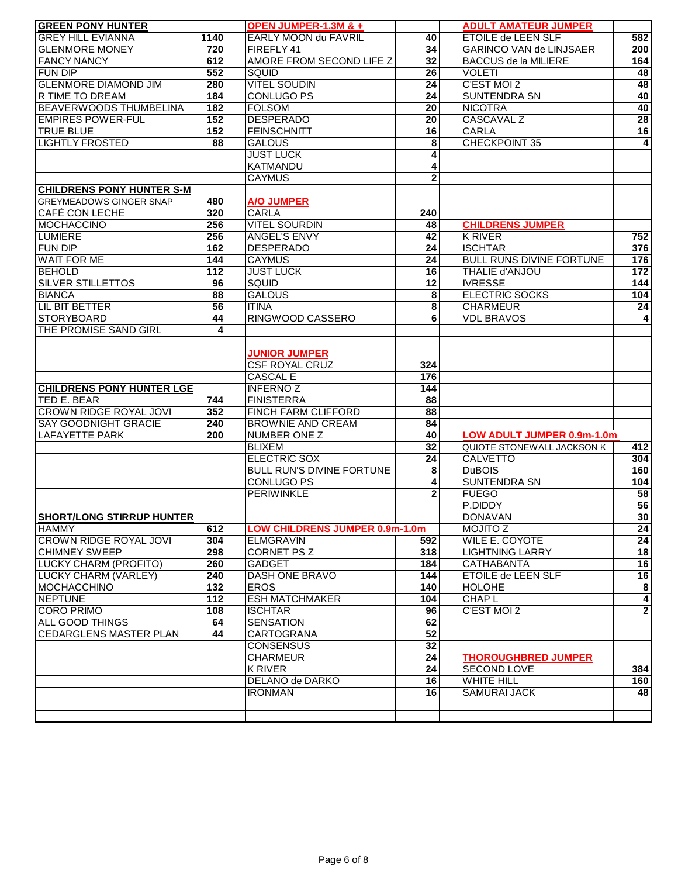| <b>GREEN PONY HUNTER</b>                      |      | OPEN JUMPER-1.3M & +                  |                  | <b>ADULT AMATEUR JUMPER</b>       |                 |
|-----------------------------------------------|------|---------------------------------------|------------------|-----------------------------------|-----------------|
| <b>GREY HILL EVIANNA</b>                      | 1140 | EARLY MOON du FAVRIL                  | 40               | ETOILE de LEEN SLF                | 582             |
| <b>GLENMORE MONEY</b>                         | 720  | FIREFLY 41                            | 34               | <b>GARINCO VAN de LINJSAER</b>    | 200             |
| <b>FANCY NANCY</b>                            | 612  | AMORE FROM SECOND LIFE Z              | $\overline{32}$  | <b>BACCUS de la MILIERE</b>       | 164             |
| <b>FUN DIP</b>                                | 552  | SQUID                                 | 26               | <b>VOLETI</b>                     | 48              |
| <b>GLENMORE DIAMOND JIM</b>                   | 280  | <b>VITEL SOUDIN</b>                   | 24               | C'EST MOI 2                       | 48              |
| R TIME TO DREAM                               | 184  | <b>CONLUGO PS</b>                     | 24               | <b>SUNTENDRA SN</b>               | 40              |
| <b>BEAVERWOODS THUMBELINA</b>                 | 182  | <b>FOLSOM</b>                         | 20               | <b>NICOTRA</b>                    | 40              |
| <b>EMPIRES POWER-FUL</b>                      | 152  | <b>DESPERADO</b>                      | $\overline{20}$  | <b>CASCAVAL Z</b>                 | $\overline{28}$ |
| <b>TRUE BLUE</b>                              | 152  | <b>FEINSCHNITT</b>                    | 16               | <b>CARLA</b>                      | $\overline{16}$ |
| <b>LIGHTLY FROSTED</b>                        | 88   | <b>GALOUS</b>                         | 8                | <b>CHECKPOINT 35</b>              | $\overline{4}$  |
|                                               |      | <b>JUST LUCK</b>                      | 4                |                                   |                 |
|                                               |      | <b>KATMANDU</b>                       | 4                |                                   |                 |
|                                               |      | <b>CAYMUS</b>                         | $\overline{2}$   |                                   |                 |
| <b>CHILDRENS PONY HUNTER S-M</b>              |      |                                       |                  |                                   |                 |
|                                               |      |                                       |                  |                                   |                 |
| <b>GREYMEADOWS GINGER SNAP</b>                | 480  | A/O JUMPER                            |                  |                                   |                 |
| <b>CAFÉ CON LECHE</b>                         | 320  | <b>CARLA</b>                          | 240              |                                   |                 |
| <b>MOCHACCINO</b>                             | 256  | <b>VITEL SOURDIN</b>                  | 48               | <b>CHILDRENS JUMPER</b>           |                 |
| <b>LUMIERE</b>                                | 256  | <b>ANGEL'S ENVY</b>                   | 42               | <b>K RIVER</b>                    | 752             |
| <b>FUN DIP</b>                                | 162  | <b>DESPERADO</b>                      | 24               | <b>ISCHTAR</b>                    | 376             |
| <b>WAIT FOR ME</b>                            | 144  | <b>CAYMUS</b>                         | 24               | <b>BULL RUNS DIVINE FORTUNE</b>   | 176             |
| <b>BEHOLD</b>                                 | 112  | <b>JUST LUCK</b>                      | 16               | THALIE d'ANJOU                    | 172             |
| <b>SILVER STILLETTOS</b>                      | 96   | <b>SQUID</b>                          | 12               | <b>IVRESSE</b>                    | 144             |
| <b>BIANCA</b>                                 | 88   | <b>GALOUS</b>                         | 8                | <b>ELECTRIC SOCKS</b>             | 104             |
| LIL BIT BETTER                                | 56   | <b>ITINA</b>                          | 8                | <b>CHARMEUR</b>                   | 24              |
| <b>STORYBOARD</b>                             | 44   | RINGWOOD CASSERO                      | 6                | <b>VDL BRAVOS</b>                 | 4               |
| THE PROMISE SAND GIRL                         | 4    |                                       |                  |                                   |                 |
|                                               |      |                                       |                  |                                   |                 |
|                                               |      | <b>JUNIOR JUMPER</b>                  |                  |                                   |                 |
|                                               |      | <b>CSF ROYAL CRUZ</b>                 | 324              |                                   |                 |
|                                               |      | <b>CASCAL E</b>                       | 176              |                                   |                 |
| <b>CHILDRENS PONY HUNTER LGE</b>              |      | <b>INFERNOZ</b>                       | $\overline{144}$ |                                   |                 |
| TED E. BEAR                                   | 744  | <b>FINISTERRA</b>                     | 88               |                                   |                 |
| <b>CROWN RIDGE ROYAL JOVI</b>                 | 352  | FINCH FARM CLIFFORD                   | 88               |                                   |                 |
| <b>SAY GOODNIGHT GRACIE</b>                   | 240  | <b>BROWNIE AND CREAM</b>              | 84               |                                   |                 |
| <b>LAFAYETTE PARK</b>                         | 200  | <b>NUMBER ONE Z</b>                   | 40               | LOW ADULT JUMPER 0.9m-1.0m        |                 |
|                                               |      | <b>BLIXEM</b>                         | 32               | QUIOTE STONEWALL JACKSON K        | 412             |
|                                               |      | <b>ELECTRIC SOX</b>                   | 24               | <b>CALVETTO</b>                   | 304             |
|                                               |      | <b>BULL RUN'S DIVINE FORTUNE</b>      | 8                | <b>DuBOIS</b>                     | 160             |
|                                               |      | <b>CONLUGO PS</b>                     | 4                | <b>SUNTENDRA SN</b>               | 104             |
|                                               |      | <b>PERIWINKLE</b>                     | $\mathbf 2$      | <b>FUEGO</b>                      | 58              |
|                                               |      |                                       |                  | P.DIDDY                           | 56              |
| <b>SHORT/LONG STIRRUP HUNTER</b>              |      |                                       |                  | <b>DONAVAN</b>                    | 30              |
|                                               |      | <b>LOW CHILDRENS JUMPER 0.9m-1.0m</b> |                  |                                   |                 |
| <b>HAMMY</b><br><b>CROWN RIDGE ROYAL JOVI</b> | 612  | <b>ELMGRAVIN</b>                      | 592              | NOJITO Z<br><b>WILE E. COYOTE</b> | 24              |
|                                               | 304  |                                       |                  |                                   | 24              |
| <b>CHIMNEY SWEEP</b>                          | 298  | CORNET PS Z                           | 318              | <b>LIGHTNING LARRY</b>            | 18              |
| LUCKY CHARM (PROFITO)                         | 260  | <b>GADGET</b>                         | 184              | CATHABANTA                        | 16              |
| <b>LUCKY CHARM (VARLEY)</b>                   | 240  | DASH ONE BRAVO                        | 144              | <b>ETOILE de LEEN SLF</b>         | 16              |
| <b>MOCHACCHINO</b>                            | 132  | <b>EROS</b>                           | 140              | HOLOHE                            | $\pmb{8}$       |
| <b>NEPTUNE</b>                                | 112  | <b>ESH MATCHMAKER</b>                 | 104              | CHAP L                            | $\overline{4}$  |
| <b>CORO PRIMO</b>                             | 108  | <b>ISCHTAR</b>                        | 96               | C'EST MOI 2                       | $\overline{2}$  |
| <b>ALL GOOD THINGS</b>                        | 64   | <b>SENSATION</b>                      | 62               |                                   |                 |
| <b>CEDARGLENS MASTER PLAN</b>                 | 44   | CARTOGRANA                            | 52               |                                   |                 |
|                                               |      | <b>CONSENSUS</b>                      | 32               |                                   |                 |
|                                               |      | <b>CHARMEUR</b>                       | $\overline{24}$  | <b>THOROUGHBRED JUMPER</b>        |                 |
|                                               |      | K RIVER                               | $\overline{24}$  | <b>SECOND LOVE</b>                | 384             |
|                                               |      | DELANO de DARKO                       | $\overline{16}$  | <b>WHITE HILL</b>                 | 160             |
|                                               |      | <b>IRONMAN</b>                        | 16               | <b>SAMURAI JACK</b>               | 48              |
|                                               |      |                                       |                  |                                   |                 |
|                                               |      |                                       |                  |                                   |                 |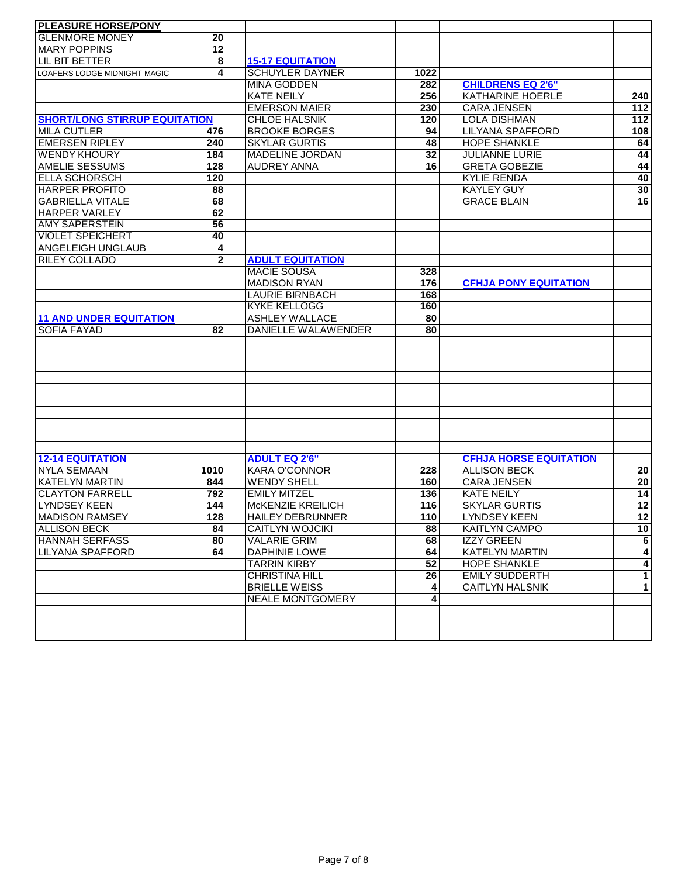| <b>PLEASURE HORSE/PONY</b>           |                 |                            |                 |                               |                         |
|--------------------------------------|-----------------|----------------------------|-----------------|-------------------------------|-------------------------|
| <b>I</b> GLENMORE MONEY              | 20              |                            |                 |                               |                         |
| <b>MARY POPPINS</b>                  | $\overline{12}$ |                            |                 |                               |                         |
| LIL BIT BETTER                       | 8               | <b>15-17 EQUITATION</b>    |                 |                               |                         |
| <b>LOAFERS LODGE MIDNIGHT MAGIC</b>  | 4               | <b>SCHUYLER DAYNER</b>     | 1022            |                               |                         |
|                                      |                 | <b>MINA GODDEN</b>         | 282             | <b>CHILDRENS EQ 2'6"</b>      |                         |
|                                      |                 | <b>KATE NEILY</b>          | 256             | KATHARINE HOERLE              | 240                     |
|                                      |                 | <b>EMERSON MAIER</b>       | 230             | <b>CARA JENSEN</b>            | $\overline{112}$        |
| <b>SHORT/LONG STIRRUP EQUITATION</b> |                 | <b>CHLOE HALSNIK</b>       | 120             | <b>LOLA DISHMAN</b>           | 112                     |
| <b>MILA CUTLER</b>                   | 476             | <b>BROOKE BORGES</b>       | 94              | <b>LILYANA SPAFFORD</b>       | 108                     |
| <b>EMERSEN RIPLEY</b>                | 240             | <b>SKYLAR GURTIS</b>       | 48              | <b>HOPE SHANKLE</b>           | 64                      |
| <b>WENDY KHOURY</b>                  | 184             | <b>MADELINE JORDAN</b>     | 32              | <b>JULIANNE LURIE</b>         | 44                      |
| <b>AMELIE SESSUMS</b>                | 128             | <b>AUDREY ANNA</b>         | 16              | <b>GRETA GOBEZIE</b>          | 44                      |
| ELLA SCHORSCH                        | 120             |                            |                 | <b>KYLIE RENDA</b>            | 40                      |
| <b>HARPER PROFITO</b>                | 88              |                            |                 | <b>KAYLEY GUY</b>             | 30                      |
| <b>GABRIELLA VITALE</b>              | 68              |                            |                 | <b>GRACE BLAIN</b>            | 16                      |
| <b>HARPER VARLEY</b>                 | 62              |                            |                 |                               |                         |
| <b>AMY SAPERSTEIN</b>                | 56              |                            |                 |                               |                         |
| <b>VIOLET SPEICHERT</b>              | 40              |                            |                 |                               |                         |
| <b>ANGELEIGH UNGLAUB</b>             | 4               |                            |                 |                               |                         |
| <b>RILEY COLLADO</b>                 | $\mathbf 2$     | <b>ADULT EQUITATION</b>    |                 |                               |                         |
|                                      |                 | <b>MACIE SOUSA</b>         | 328             |                               |                         |
|                                      |                 | <b>MADISON RYAN</b>        | 176             | <b>CFHJA PONY EQUITATION</b>  |                         |
|                                      |                 | <b>LAURIE BIRNBACH</b>     | 168             |                               |                         |
|                                      |                 | <b>KYKE KELLOGG</b>        | 160             |                               |                         |
| <b>11 AND UNDER EQUITATION</b>       |                 | <b>ASHLEY WALLACE</b>      | 80              |                               |                         |
| <b>SOFIA FAYAD</b>                   | 82              | <b>DANIELLE WALAWENDER</b> | $\overline{80}$ |                               |                         |
|                                      |                 |                            |                 |                               |                         |
|                                      |                 |                            |                 |                               |                         |
|                                      |                 |                            |                 |                               |                         |
|                                      |                 |                            |                 |                               |                         |
|                                      |                 |                            |                 |                               |                         |
|                                      |                 |                            |                 |                               |                         |
|                                      |                 |                            |                 |                               |                         |
|                                      |                 |                            |                 |                               |                         |
|                                      |                 |                            |                 |                               |                         |
|                                      |                 |                            |                 |                               |                         |
| <b>12-14 EQUITATION</b>              |                 | <b>ADULT EQ 2'6"</b>       |                 | <b>CFHJA HORSE EQUITATION</b> |                         |
| <b>NYLA SEMAAN</b>                   | 1010            | <b>KARA O'CONNOR</b>       | 228             | <b>ALLISON BECK</b>           | $\overline{20}$         |
| <b>KATELYN MARTIN</b>                | 844             | <b>WENDY SHELL</b>         | 160             | <b>CARA JENSEN</b>            | 20                      |
| <b>CLAYTON FARRELL</b>               | 792             | <b>EMILY MITZEL</b>        | 136             | <b>KATE NEILY</b>             | 14                      |
| LYNDSEY KEEN                         | 144             | McKENZIE KREILICH          | 116             | <b>SKYLAR GURTIS</b>          | $\overline{12}$         |
| <b>MADISON RAMSEY</b>                | 128             | <b>HAILEY DEBRUNNER</b>    | 110             | <b>LYNDSEY KEEN</b>           | $\overline{12}$         |
| <b>ALLISON BECK</b>                  | 84              | <b>CAITLYN WOJCIKI</b>     | 88              | <b>KAITLYN CAMPO</b>          | 10                      |
| <b>HANNAH SERFASS</b>                | 80              | <b>VALARIE GRIM</b>        | 68              | <b>IZZY GREEN</b>             | $\overline{6}$          |
| LILYANA SPAFFORD                     | 64              | <b>DAPHINIE LOWE</b>       | 64              | <b>KATELYN MARTIN</b>         | $\overline{\mathbf{4}}$ |
|                                      |                 | <b>TARRIN KIRBY</b>        | 52              | <b>HOPE SHANKLE</b>           | $\overline{4}$          |
|                                      |                 | <b>CHRISTINA HILL</b>      | $\overline{26}$ | <b>EMILY SUDDERTH</b>         | $\overline{1}$          |
|                                      |                 | <b>BRIELLE WEISS</b>       | 4               | <b>CAITLYN HALSNIK</b>        | $\overline{1}$          |
|                                      |                 | <b>NEALE MONTGOMERY</b>    | 4               |                               |                         |
|                                      |                 |                            |                 |                               |                         |
|                                      |                 |                            |                 |                               |                         |
|                                      |                 |                            |                 |                               |                         |